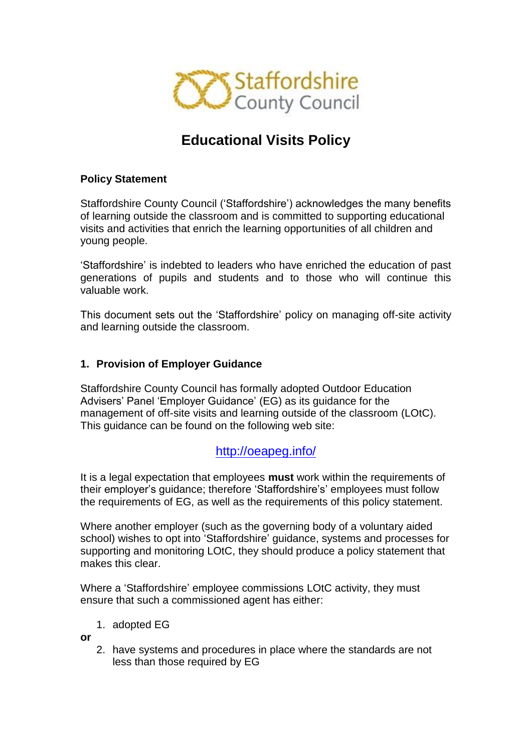

# **Educational Visits Policy**

## **Policy Statement**

Staffordshire County Council ('Staffordshire') acknowledges the many benefits of learning outside the classroom and is committed to supporting educational visits and activities that enrich the learning opportunities of all children and young people.

'Staffordshire' is indebted to leaders who have enriched the education of past generations of pupils and students and to those who will continue this valuable work.

This document sets out the 'Staffordshire' policy on managing off-site activity and learning outside the classroom.

## **1. Provision of Employer Guidance**

Staffordshire County Council has formally adopted Outdoor Education Advisers' Panel 'Employer Guidance' (EG) as its guidance for the management of off-site visits and learning outside of the classroom (LOtC). This guidance can be found on the following web site:

# <http://oeapeg.info/>

It is a legal expectation that employees **must** work within the requirements of their employer's guidance; therefore 'Staffordshire's' employees must follow the requirements of EG, as well as the requirements of this policy statement.

Where another employer (such as the governing body of a voluntary aided school) wishes to opt into 'Staffordshire' guidance, systems and processes for supporting and monitoring LOtC, they should produce a policy statement that makes this clear.

Where a 'Staffordshire' employee commissions LOtC activity, they must ensure that such a commissioned agent has either:

1. adopted EG

**or**

2. have systems and procedures in place where the standards are not less than those required by EG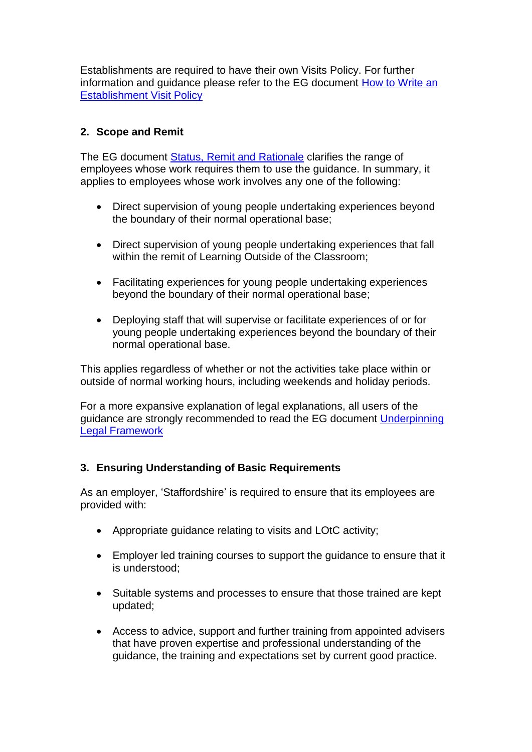Establishments are required to have their own Visits Policy. For further information and guidance please refer to the EG document [How to Write an](http://oeapeg.info/wp-content/uploads/downloads/2011/04/5.3b-How-to-write-an-establishment-visit-policy.pdf)  [Establishment Visit Policy](http://oeapeg.info/wp-content/uploads/downloads/2011/04/5.3b-How-to-write-an-establishment-visit-policy.pdf)

# **2. Scope and Remit**

The EG document [Status, Remit and Rationale](http://oeapeg.info/wp-content/uploads/downloads/2011/03/1c-Status-Remit-and-Rationale.pdf) clarifies the range of employees whose work requires them to use the guidance. In summary, it applies to employees whose work involves any one of the following:

- Direct supervision of young people undertaking experiences beyond the boundary of their normal operational base;
- Direct supervision of young people undertaking experiences that fall within the remit of Learning Outside of the Classroom;
- Facilitating experiences for young people undertaking experiences beyond the boundary of their normal operational base;
- Deploying staff that will supervise or facilitate experiences of or for young people undertaking experiences beyond the boundary of their normal operational base.

This applies regardless of whether or not the activities take place within or outside of normal working hours, including weekends and holiday periods.

For a more expansive explanation of legal explanations, all users of the guidance are strongly recommended to read the EG document [Underpinning](http://oeapeg.info/wp-content/uploads/downloads/2011/03/3.2a-Underpinning-Framework.pdf)  [Legal Framework](http://oeapeg.info/wp-content/uploads/downloads/2011/03/3.2a-Underpinning-Framework.pdf)

## **3. Ensuring Understanding of Basic Requirements**

As an employer, 'Staffordshire' is required to ensure that its employees are provided with:

- Appropriate guidance relating to visits and LOtC activity;
- Employer led training courses to support the guidance to ensure that it is understood;
- Suitable systems and processes to ensure that those trained are kept updated;
- Access to advice, support and further training from appointed advisers that have proven expertise and professional understanding of the guidance, the training and expectations set by current good practice.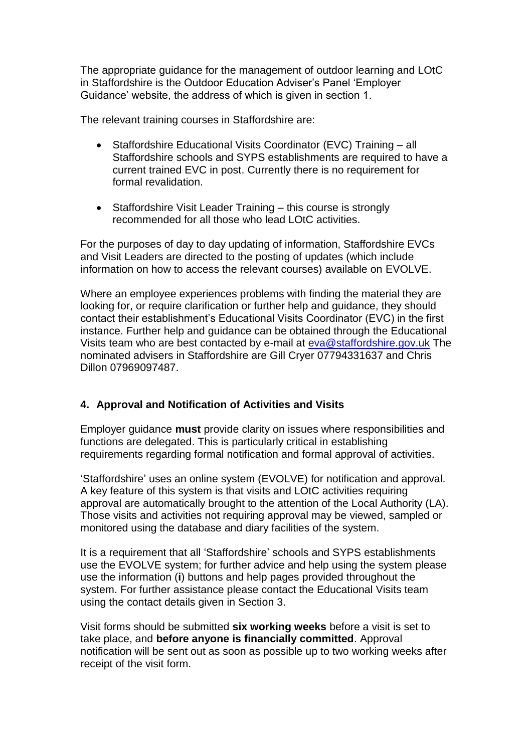The appropriate guidance for the management of outdoor learning and LOtC in Staffordshire is the Outdoor Education Adviser's Panel 'Employer Guidance' website, the address of which is given in section 1.

The relevant training courses in Staffordshire are:

- Staffordshire Educational Visits Coordinator (EVC) Training all Staffordshire schools and SYPS establishments are required to have a current trained EVC in post. Currently there is no requirement for formal revalidation.
- Staffordshire Visit Leader Training this course is strongly recommended for all those who lead LOtC activities.

For the purposes of day to day updating of information, Staffordshire EVCs and Visit Leaders are directed to the posting of updates (which include information on how to access the relevant courses) available on EVOLVE.

Where an employee experiences problems with finding the material they are looking for, or require clarification or further help and guidance, they should contact their establishment's Educational Visits Coordinator (EVC) in the first instance. Further help and guidance can be obtained through the Educational Visits team who are best contacted by e-mail at [eva@staffordshire.gov.uk](mailto:eva@staffordshire.gov.uk) The nominated advisers in Staffordshire are Gill Cryer 07794331637 and Chris Dillon 07969097487.

# **4. Approval and Notification of Activities and Visits**

Employer guidance **must** provide clarity on issues where responsibilities and functions are delegated. This is particularly critical in establishing requirements regarding formal notification and formal approval of activities.

'Staffordshire' uses an online system (EVOLVE) for notification and approval. A key feature of this system is that visits and LOtC activities requiring approval are automatically brought to the attention of the Local Authority (LA). Those visits and activities not requiring approval may be viewed, sampled or monitored using the database and diary facilities of the system.

It is a requirement that all 'Staffordshire' schools and SYPS establishments use the EVOLVE system; for further advice and help using the system please use the information (**i**) buttons and help pages provided throughout the system. For further assistance please contact the Educational Visits team using the contact details given in Section 3.

Visit forms should be submitted **six working weeks** before a visit is set to take place, and **before anyone is financially committed**. Approval notification will be sent out as soon as possible up to two working weeks after receipt of the visit form.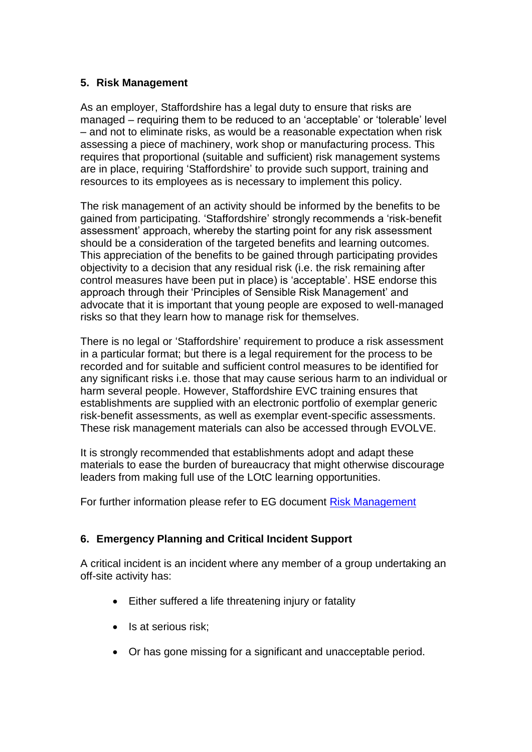## **5. Risk Management**

As an employer, Staffordshire has a legal duty to ensure that risks are managed – requiring them to be reduced to an 'acceptable' or 'tolerable' level – and not to eliminate risks, as would be a reasonable expectation when risk assessing a piece of machinery, work shop or manufacturing process. This requires that proportional (suitable and sufficient) risk management systems are in place, requiring 'Staffordshire' to provide such support, training and resources to its employees as is necessary to implement this policy.

The risk management of an activity should be informed by the benefits to be gained from participating. 'Staffordshire' strongly recommends a 'risk-benefit assessment' approach, whereby the starting point for any risk assessment should be a consideration of the targeted benefits and learning outcomes. This appreciation of the benefits to be gained through participating provides objectivity to a decision that any residual risk (i.e. the risk remaining after control measures have been put in place) is 'acceptable'. HSE endorse this approach through their 'Principles of Sensible Risk Management' and advocate that it is important that young people are exposed to well-managed risks so that they learn how to manage risk for themselves.

There is no legal or 'Staffordshire' requirement to produce a risk assessment in a particular format; but there is a legal requirement for the process to be recorded and for suitable and sufficient control measures to be identified for any significant risks i.e. those that may cause serious harm to an individual or harm several people. However, Staffordshire EVC training ensures that establishments are supplied with an electronic portfolio of exemplar generic risk-benefit assessments, as well as exemplar event-specific assessments. These risk management materials can also be accessed through EVOLVE.

It is strongly recommended that establishments adopt and adapt these materials to ease the burden of bureaucracy that might otherwise discourage leaders from making full use of the LOtC learning opportunities.

For further information please refer to EG document [Risk Management](http://oeapeg.info/wp-content/uploads/downloads/2011/04/4.3c-Risk-management.pdf)

# **6. Emergency Planning and Critical Incident Support**

A critical incident is an incident where any member of a group undertaking an off-site activity has:

- Either suffered a life threatening injury or fatality
- Is at serious risk:
- Or has gone missing for a significant and unacceptable period.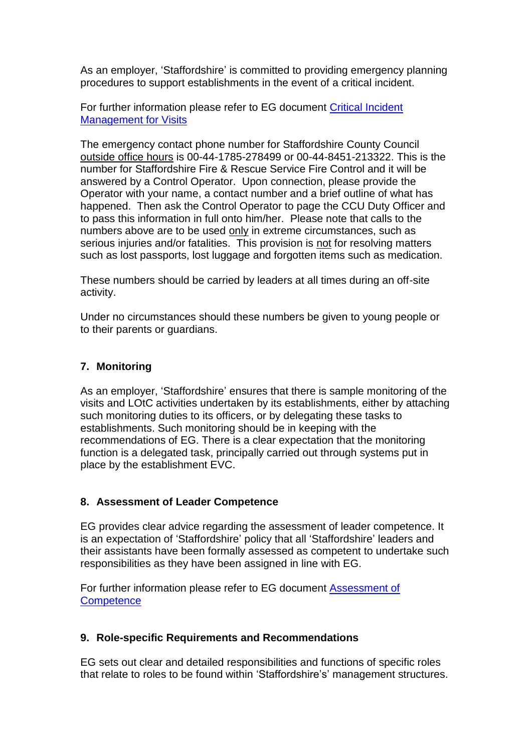As an employer, 'Staffordshire' is committed to providing emergency planning procedures to support establishments in the event of a critical incident.

For further information please refer to EG document [Critical Incident](http://oeapeg.info/wp-content/uploads/downloads/2011/04/4.1a-Critical-Incident-Management-for-Visits.pdf)  [Management for Visits](http://oeapeg.info/wp-content/uploads/downloads/2011/04/4.1a-Critical-Incident-Management-for-Visits.pdf)

The emergency contact phone number for Staffordshire County Council outside office hours is 00-44-1785-278499 or 00-44-8451-213322. This is the number for Staffordshire Fire & Rescue Service Fire Control and it will be answered by a Control Operator. Upon connection, please provide the Operator with your name, a contact number and a brief outline of what has happened. Then ask the Control Operator to page the CCU Duty Officer and to pass this information in full onto him/her. Please note that calls to the numbers above are to be used only in extreme circumstances, such as serious injuries and/or fatalities. This provision is not for resolving matters such as lost passports, lost luggage and forgotten items such as medication.

These numbers should be carried by leaders at all times during an off-site activity.

Under no circumstances should these numbers be given to young people or to their parents or quardians.

## **7. Monitoring**

As an employer, 'Staffordshire' ensures that there is sample monitoring of the visits and LOtC activities undertaken by its establishments, either by attaching such monitoring duties to its officers, or by delegating these tasks to establishments. Such monitoring should be in keeping with the recommendations of EG. There is a clear expectation that the monitoring function is a delegated task, principally carried out through systems put in place by the establishment EVC.

## **8. Assessment of Leader Competence**

EG provides clear advice regarding the assessment of leader competence. It is an expectation of 'Staffordshire' policy that all 'Staffordshire' leaders and their assistants have been formally assessed as competent to undertake such responsibilities as they have been assigned in line with EG.

For further information please refer to EG document [Assessment of](http://oeapeg.info/wp-content/uploads/downloads/2011/03/3.2d-Assessment-of-Competence.pdf)  **[Competence](http://oeapeg.info/wp-content/uploads/downloads/2011/03/3.2d-Assessment-of-Competence.pdf)** 

## **9. Role-specific Requirements and Recommendations**

EG sets out clear and detailed responsibilities and functions of specific roles that relate to roles to be found within 'Staffordshire's' management structures.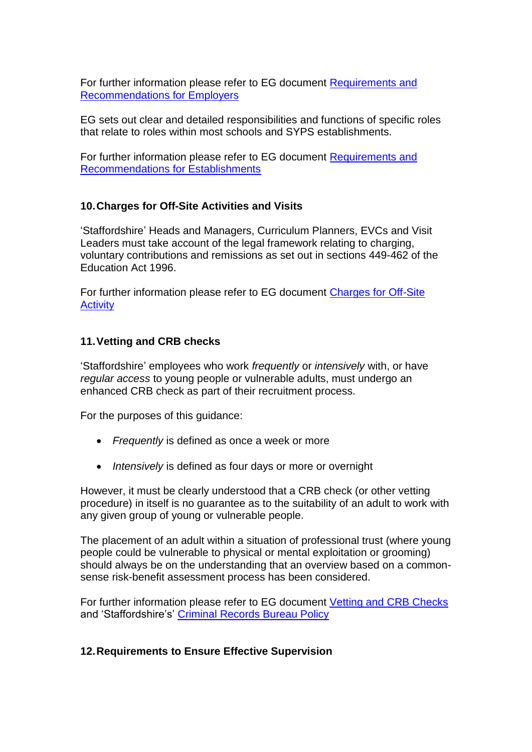For further information please refer to EG document [Requirements and](http://oeapeg.info/wp-content/uploads/downloads/2011/03/3.1a-Requirements-Recommendations-for-Employers.pdf)  [Recommendations for Employers](http://oeapeg.info/wp-content/uploads/downloads/2011/03/3.1a-Requirements-Recommendations-for-Employers.pdf)

EG sets out clear and detailed responsibilities and functions of specific roles that relate to roles within most schools and SYPS establishments.

For further information please refer to EG document [Requirements and](http://oeapeg.info/wp-content/uploads/downloads/2011/03/3.1b-Requirements-Recommendations-for-Establishments.pdf)  [Recommendations for Establishments](http://oeapeg.info/wp-content/uploads/downloads/2011/03/3.1b-Requirements-Recommendations-for-Establishments.pdf)

## **10.Charges for Off-Site Activities and Visits**

'Staffordshire' Heads and Managers, Curriculum Planners, EVCs and Visit Leaders must take account of the legal framework relating to charging, voluntary contributions and remissions as set out in sections 449-462 of the Education Act 1996.

For further information please refer to EG document [Charges for Off-Site](http://oeapeg.info/wp-content/uploads/downloads/2011/03/3.2c-Charges-for-off-site-actvity.pdf)  **[Activity](http://oeapeg.info/wp-content/uploads/downloads/2011/03/3.2c-Charges-for-off-site-actvity.pdf)** 

## **11.Vetting and CRB checks**

'Staffordshire' employees who work *frequently* or *intensively* with, or have *regular access* to young people or vulnerable adults, must undergo an enhanced CRB check as part of their recruitment process.

For the purposes of this guidance:

- *Frequently* is defined as once a week or more
- *Intensively* is defined as four days or more or overnight

However, it must be clearly understood that a CRB check (or other vetting procedure) in itself is no guarantee as to the suitability of an adult to work with any given group of young or vulnerable people.

The placement of an adult within a situation of professional trust (where young people could be vulnerable to physical or mental exploitation or grooming) should always be on the understanding that an overview based on a commonsense risk-benefit assessment process has been considered.

For further information please refer to EG document [Vetting and CRB Checks](http://oeapeg.info/wp-content/uploads/downloads/2011/03/3.2g-Vetting-and-CRB-Checks.pdf) and 'Staffordshire's' [Criminal Records Bureau Policy](http://www.intra.staffordshire.gov.uk/Resources/Documents/c/CRBPolicyHR7V2.doc)

## **12.Requirements to Ensure Effective Supervision**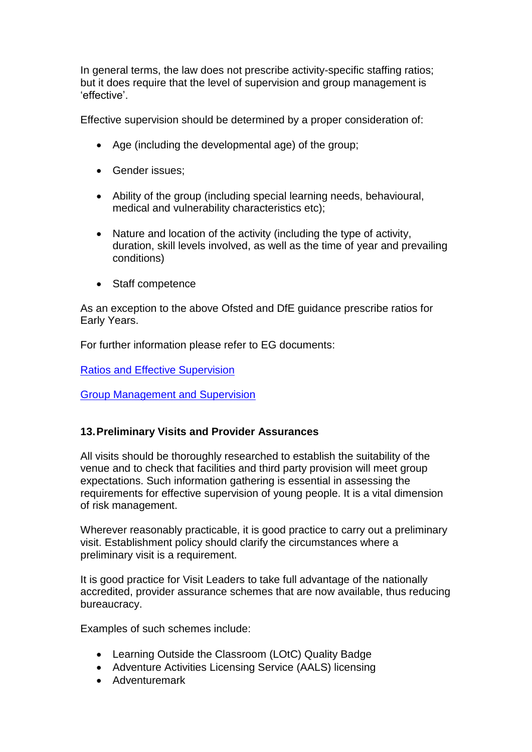In general terms, the law does not prescribe activity-specific staffing ratios; but it does require that the level of supervision and group management is 'effective'.

Effective supervision should be determined by a proper consideration of:

- Age (including the developmental age) of the group;
- Gender issues;
- Ability of the group (including special learning needs, behavioural, medical and vulnerability characteristics etc);
- Nature and location of the activity (including the type of activity, duration, skill levels involved, as well as the time of year and prevailing conditions)
- Staff competence

As an exception to the above Ofsted and DfE guidance prescribe ratios for Early Years.

For further information please refer to EG documents:

[Ratios and Effective Supervision](http://oeapeg.info/wp-content/uploads/downloads/2011/04/4.3b-Ratios-and-effective-supervision.pdf)

[Group Management and Supervision](http://oeapeg.info/wp-content/uploads/downloads/2011/04/4.2a-Group-management-and-supervision.pdf) 

## **13.Preliminary Visits and Provider Assurances**

All visits should be thoroughly researched to establish the suitability of the venue and to check that facilities and third party provision will meet group expectations. Such information gathering is essential in assessing the requirements for effective supervision of young people. It is a vital dimension of risk management.

Wherever reasonably practicable, it is good practice to carry out a preliminary visit. Establishment policy should clarify the circumstances where a preliminary visit is a requirement.

It is good practice for Visit Leaders to take full advantage of the nationally accredited, provider assurance schemes that are now available, thus reducing bureaucracy.

Examples of such schemes include:

- Learning Outside the Classroom (LOtC) Quality Badge
- Adventure Activities Licensing Service (AALS) licensing
- Adventuremark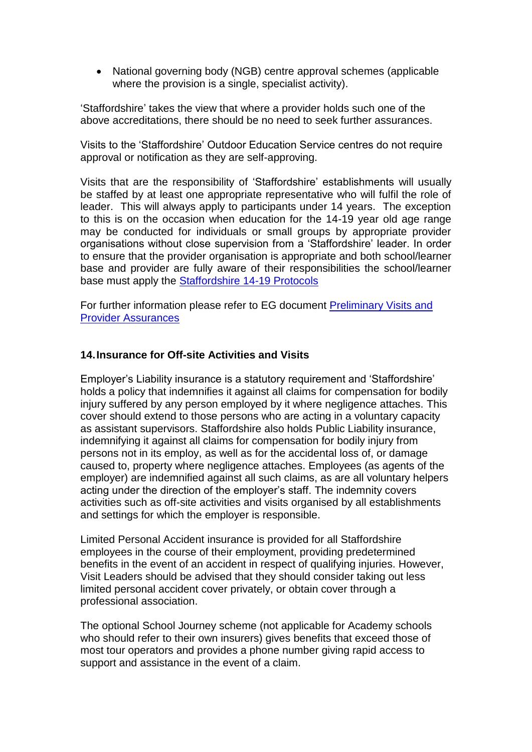• National governing body (NGB) centre approval schemes (applicable where the provision is a single, specialist activity).

'Staffordshire' takes the view that where a provider holds such one of the above accreditations, there should be no need to seek further assurances.

Visits to the 'Staffordshire' Outdoor Education Service centres do not require approval or notification as they are self-approving.

Visits that are the responsibility of 'Staffordshire' establishments will usually be staffed by at least one appropriate representative who will fulfil the role of leader. This will always apply to participants under 14 years. The exception to this is on the occasion when education for the 14-19 year old age range may be conducted for individuals or small groups by appropriate provider organisations without close supervision from a 'Staffordshire' leader. In order to ensure that the provider organisation is appropriate and both school/learner base and provider are fully aware of their responsibilities the school/learner base must apply the [Staffordshire 14-19 Protocols](http://education.staffordshire.gov.uk/Curriculum/ThemesandInitiatives/14to19/Protocols/)

For further information please refer to EG document [Preliminary Visits and](http://oeapeg.info/wp-content/uploads/downloads/2011/04/4.4h-Preliminary-visits-and-provider-assurances.pdf)  [Provider Assurances](http://oeapeg.info/wp-content/uploads/downloads/2011/04/4.4h-Preliminary-visits-and-provider-assurances.pdf)

#### **14.Insurance for Off-site Activities and Visits**

Employer's Liability insurance is a statutory requirement and 'Staffordshire' holds a policy that indemnifies it against all claims for compensation for bodily injury suffered by any person employed by it where negligence attaches. This cover should extend to those persons who are acting in a voluntary capacity as assistant supervisors. Staffordshire also holds Public Liability insurance, indemnifying it against all claims for compensation for bodily injury from persons not in its employ, as well as for the accidental loss of, or damage caused to, property where negligence attaches. Employees (as agents of the employer) are indemnified against all such claims, as are all voluntary helpers acting under the direction of the employer's staff. The indemnity covers activities such as off-site activities and visits organised by all establishments and settings for which the employer is responsible.

Limited Personal Accident insurance is provided for all Staffordshire employees in the course of their employment, providing predetermined benefits in the event of an accident in respect of qualifying injuries. However, Visit Leaders should be advised that they should consider taking out less limited personal accident cover privately, or obtain cover through a professional association.

The optional School Journey scheme (not applicable for Academy schools who should refer to their own insurers) gives benefits that exceed those of most tour operators and provides a phone number giving rapid access to support and assistance in the event of a claim.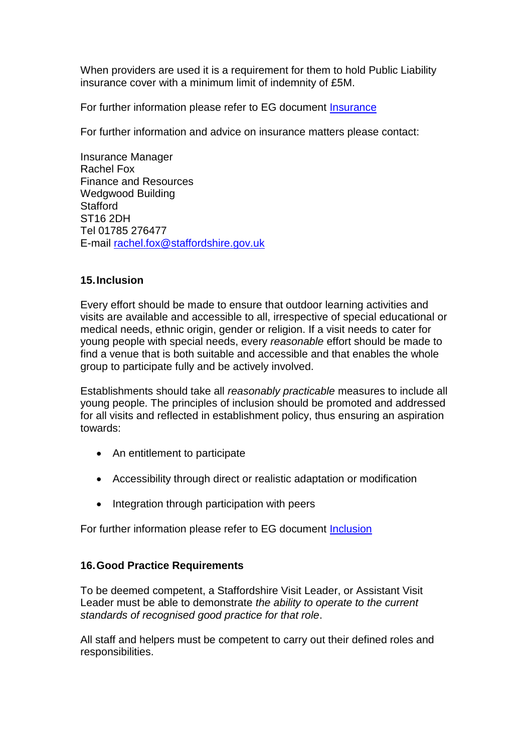When providers are used it is a requirement for them to hold Public Liability insurance cover with a minimum limit of indemnity of £5M.

For further information please refer to EG document [Insurance](http://oeapeg.info/wp-content/uploads/downloads/2011/04/4.4c-Insurance.pdf)

For further information and advice on insurance matters please contact:

Insurance Manager Rachel Fox Finance and Resources Wedgwood Building **Stafford** ST16 2DH Tel 01785 276477 E-mail [rachel.fox@staffordshire.gov.uk](mailto:rachel.fox@staffordshire.gov.uk)

## **15.Inclusion**

Every effort should be made to ensure that outdoor learning activities and visits are available and accessible to all, irrespective of special educational or medical needs, ethnic origin, gender or religion. If a visit needs to cater for young people with special needs, every *reasonable* effort should be made to find a venue that is both suitable and accessible and that enables the whole group to participate fully and be actively involved.

Establishments should take all *reasonably practicable* measures to include all young people. The principles of inclusion should be promoted and addressed for all visits and reflected in establishment policy, thus ensuring an aspiration towards:

- An entitlement to participate
- Accessibility through direct or realistic adaptation or modification
- Integration through participation with peers

For further information please refer to EG document [Inclusion](http://oeapeg.info/wp-content/uploads/downloads/2011/03/3.2e-Inclusion.pdf)

## **16.Good Practice Requirements**

To be deemed competent, a Staffordshire Visit Leader, or Assistant Visit Leader must be able to demonstrate *the ability to operate to the current standards of recognised good practice for that role*.

All staff and helpers must be competent to carry out their defined roles and responsibilities.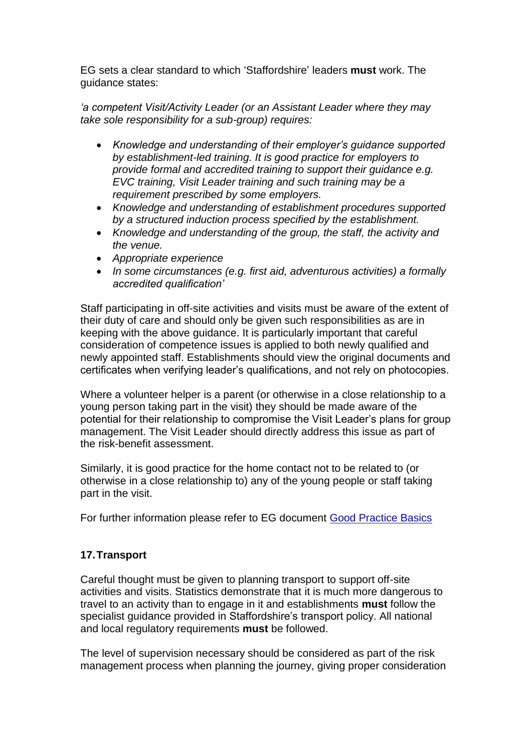EG sets a clear standard to which 'Staffordshire' leaders **must** work. The guidance states:

*'a competent Visit/Activity Leader (or an Assistant Leader where they may take sole responsibility for a sub-group) requires:*

- *Knowledge and understanding of their employer's guidance supported by establishment-led training. It is good practice for employers to provide formal and accredited training to support their guidance e.g. EVC training, Visit Leader training and such training may be a requirement prescribed by some employers.*
- *Knowledge and understanding of establishment procedures supported by a structured induction process specified by the establishment.*
- *Knowledge and understanding of the group, the staff, the activity and the venue.*
- *Appropriate experience*
- *In some circumstances (e.g. first aid, adventurous activities) a formally accredited qualification'*

Staff participating in off-site activities and visits must be aware of the extent of their duty of care and should only be given such responsibilities as are in keeping with the above guidance. It is particularly important that careful consideration of competence issues is applied to both newly qualified and newly appointed staff. Establishments should view the original documents and certificates when verifying leader's qualifications, and not rely on photocopies.

Where a volunteer helper is a parent (or otherwise in a close relationship to a young person taking part in the visit) they should be made aware of the potential for their relationship to compromise the Visit Leader's plans for group management. The Visit Leader should directly address this issue as part of the risk-benefit assessment.

Similarly, it is good practice for the home contact not to be related to (or otherwise in a close relationship to) any of the young people or staff taking part in the visit.

For further information please refer to EG document [Good Practice Basics](http://oeapeg.info/wp-content/uploads/downloads/2011/04/4.3a-Good-practice-basics.pdf)

# **17.Transport**

Careful thought must be given to planning transport to support off-site activities and visits. Statistics demonstrate that it is much more dangerous to travel to an activity than to engage in it and establishments **must** follow the specialist guidance provided in Staffordshire's transport policy. All national and local regulatory requirements **must** be followed.

The level of supervision necessary should be considered as part of the risk management process when planning the journey, giving proper consideration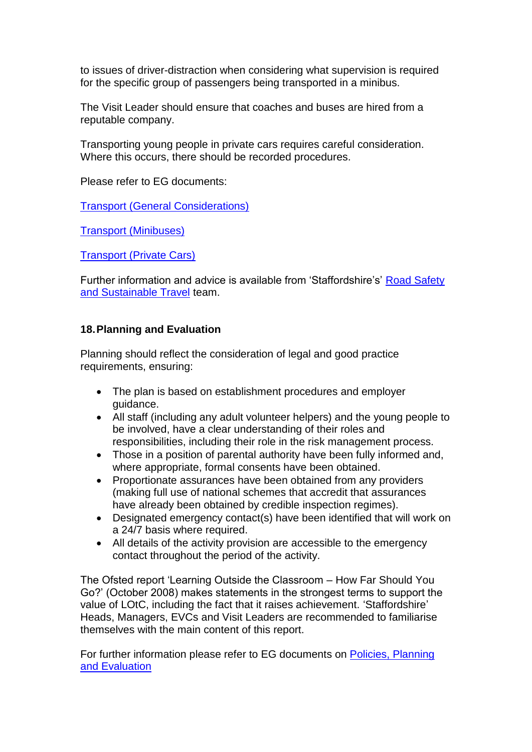to issues of driver-distraction when considering what supervision is required for the specific group of passengers being transported in a minibus.

The Visit Leader should ensure that coaches and buses are hired from a reputable company.

Transporting young people in private cars requires careful consideration. Where this occurs, there should be recorded procedures.

Please refer to EG documents:

[Transport \(General Considerations\)](http://oeapeg.info/wp-content/uploads/downloads/2011/04/4.5a-Transport-A-general-considerations.pdf)

[Transport \(Minibuses\)](http://oeapeg.info/wp-content/uploads/downloads/2011/04/4.5b-Transport-B-minibuses.pdf)

[Transport \(Private Cars\)](http://oeapeg.info/wp-content/uploads/downloads/2011/04/4.5c-Transport-C-private-cars.pdf)

Further information and advice is available from 'Staffordshire's' [Road Safety](http://www.intra.staffordshire.gov.uk/services/place/transport/highways/teams/roadsafety/home.aspx)  [and Sustainable Travel](http://www.intra.staffordshire.gov.uk/services/place/transport/highways/teams/roadsafety/home.aspx) team.

## **18.Planning and Evaluation**

Planning should reflect the consideration of legal and good practice requirements, ensuring:

- The plan is based on establishment procedures and employer guidance.
- All staff (including any adult volunteer helpers) and the young people to be involved, have a clear understanding of their roles and responsibilities, including their role in the risk management process.
- Those in a position of parental authority have been fully informed and, where appropriate, formal consents have been obtained.
- Proportionate assurances have been obtained from any providers (making full use of national schemes that accredit that assurances have already been obtained by credible inspection regimes).
- Designated emergency contact(s) have been identified that will work on a 24/7 basis where required.
- All details of the activity provision are accessible to the emergency contact throughout the period of the activity.

The Ofsted report 'Learning Outside the Classroom – How Far Should You Go?' (October 2008) makes statements in the strongest terms to support the value of LOtC, including the fact that it raises achievement. 'Staffordshire' Heads, Managers, EVCs and Visit Leaders are recommended to familiarise themselves with the main content of this report.

For further information please refer to EG documents on [Policies, Planning](http://oeapeg.info/downloads/policies-planning-and-evaluation/)  [and Evaluation](http://oeapeg.info/downloads/policies-planning-and-evaluation/)